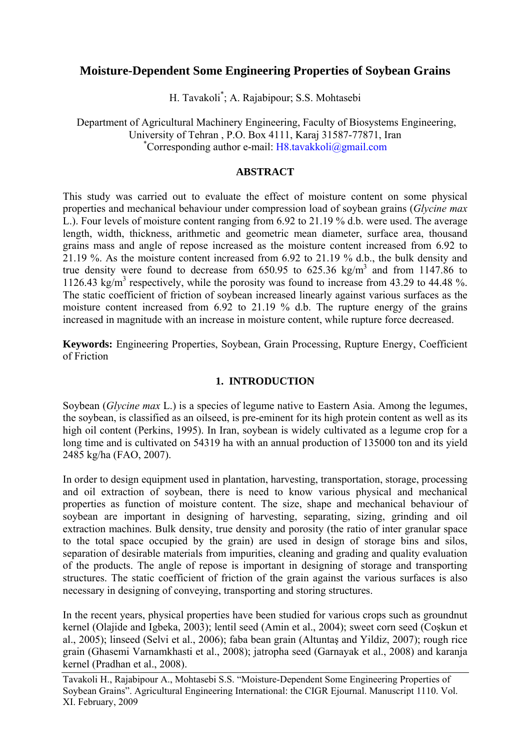# **Moisture-Dependent Some Engineering Properties of Soybean Grains**

H. Tavakoli\* ; A. Rajabipour; S.S. Mohtasebi

 Department of Agricultural Machinery Engineering, Faculty of Biosystems Engineering, University of Tehran , P.O. Box 4111, Karaj 31587-77871, Iran \* Corresponding author e-mail:  $H8.tavakkoli@gmail.com$ 

### **ABSTRACT**

This study was carried out to evaluate the effect of moisture content on some physical properties and mechanical behaviour under compression load of soybean grains (*Glycine max* L.). Four levels of moisture content ranging from 6.92 to 21.19 % d.b. were used. The average length, width, thickness, arithmetic and geometric mean diameter, surface area, thousand grains mass and angle of repose increased as the moisture content increased from 6.92 to 21.19 %. As the moisture content increased from 6.92 to 21.19 % d.b., the bulk density and true density were found to decrease from  $650.95$  to  $625.36$  kg/m<sup>3</sup> and from 1147.86 to 1126.43 kg/m<sup>3</sup> respectively, while the porosity was found to increase from 43.29 to 44.48 %. The static coefficient of friction of soybean increased linearly against various surfaces as the moisture content increased from 6.92 to 21.19 % d.b. The rupture energy of the grains increased in magnitude with an increase in moisture content, while rupture force decreased.

**Keywords:** Engineering Properties, Soybean, Grain Processing, Rupture Energy, Coefficient of Friction

## **1. INTRODUCTION**

Soybean (*Glycine max* L.) is a species of legume native to Eastern Asia. Among the legumes, the soybean, is classified as an oilseed, is pre-eminent for its high protein content as well as its high oil content (Perkins, 1995). In Iran, soybean is widely cultivated as a legume crop for a long time and is cultivated on 54319 ha with an annual production of 135000 ton and its yield 2485 kg/ha (FAO, 2007).

In order to design equipment used in plantation, harvesting, transportation, storage, processing and oil extraction of soybean, there is need to know various physical and mechanical properties as function of moisture content. The size, shape and mechanical behaviour of soybean are important in designing of harvesting, separating, sizing, grinding and oil extraction machines. Bulk density, true density and porosity (the ratio of inter granular space to the total space occupied by the grain) are used in design of storage bins and silos, separation of desirable materials from impurities, cleaning and grading and quality evaluation of the products. The angle of repose is important in designing of storage and transporting structures. The static coefficient of friction of the grain against the various surfaces is also necessary in designing of conveying, transporting and storing structures.

In the recent years, physical properties have been studied for various crops such as groundnut kernel (Olajide and Igbeka, 2003); lentil seed (Amin et al., 2004); sweet corn seed (Coşkun et al., 2005); linseed (Selvi et al., 2006); faba bean grain (Altuntaş and Yildiz, 2007); rough rice grain (Ghasemi Varnamkhasti et al., 2008); jatropha seed (Garnayak et al., 2008) and karanja kernel (Pradhan et al., 2008).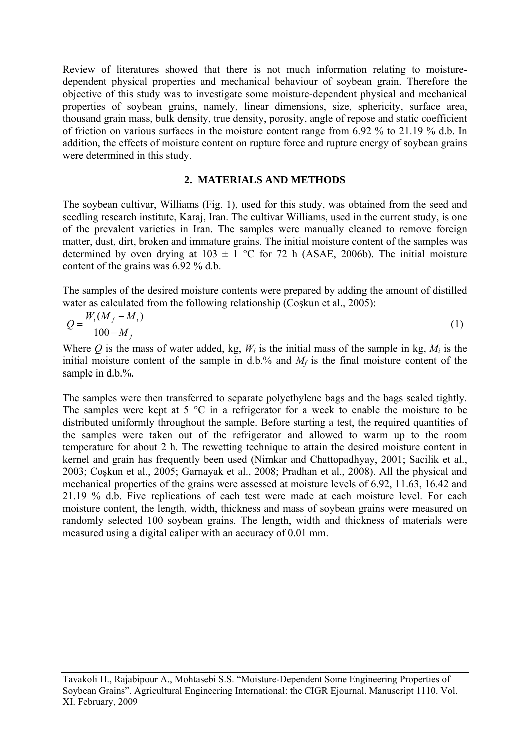Review of literatures showed that there is not much information relating to moisturedependent physical properties and mechanical behaviour of soybean grain. Therefore the objective of this study was to investigate some moisture-dependent physical and mechanical properties of soybean grains, namely, linear dimensions, size, sphericity, surface area, thousand grain mass, bulk density, true density, porosity, angle of repose and static coefficient of friction on various surfaces in the moisture content range from 6.92 % to 21.19 % d.b. In addition, the effects of moisture content on rupture force and rupture energy of soybean grains were determined in this study.

### **2. MATERIALS AND METHODS**

The soybean cultivar, Williams (Fig. 1), used for this study, was obtained from the seed and seedling research institute, Karaj, Iran. The cultivar Williams, used in the current study, is one of the prevalent varieties in Iran. The samples were manually cleaned to remove foreign matter, dust, dirt, broken and immature grains. The initial moisture content of the samples was determined by oven drying at  $103 \pm 1$  °C for 72 h (ASAE, 2006b). The initial moisture content of the grains was 6.92 % d.b.

The samples of the desired moisture contents were prepared by adding the amount of distilled water as calculated from the following relationship (Coskun et al., 2005):

$$
Q = \frac{W_i (M_f - M_i)}{100 - M_f} \tag{1}
$$

Where *Q* is the mass of water added, kg,  $W_i$  is the initial mass of the sample in kg,  $M_i$  is the initial moisture content of the sample in  $d.b.^{\%}$  and  $M_f$  is the final moisture content of the sample in d.b.%.

The samples were then transferred to separate polyethylene bags and the bags sealed tightly. The samples were kept at 5  $\degree$ C in a refrigerator for a week to enable the moisture to be distributed uniformly throughout the sample. Before starting a test, the required quantities of the samples were taken out of the refrigerator and allowed to warm up to the room temperature for about 2 h. The rewetting technique to attain the desired moisture content in kernel and grain has frequently been used (Nimkar and Chattopadhyay, 2001; Sacilik et al., 2003; Coşkun et al., 2005; Garnayak et al., 2008; Pradhan et al., 2008). All the physical and mechanical properties of the grains were assessed at moisture levels of 6.92, 11.63, 16.42 and 21.19 % d.b. Five replications of each test were made at each moisture level. For each moisture content, the length, width, thickness and mass of soybean grains were measured on randomly selected 100 soybean grains. The length, width and thickness of materials were measured using a digital caliper with an accuracy of 0.01 mm.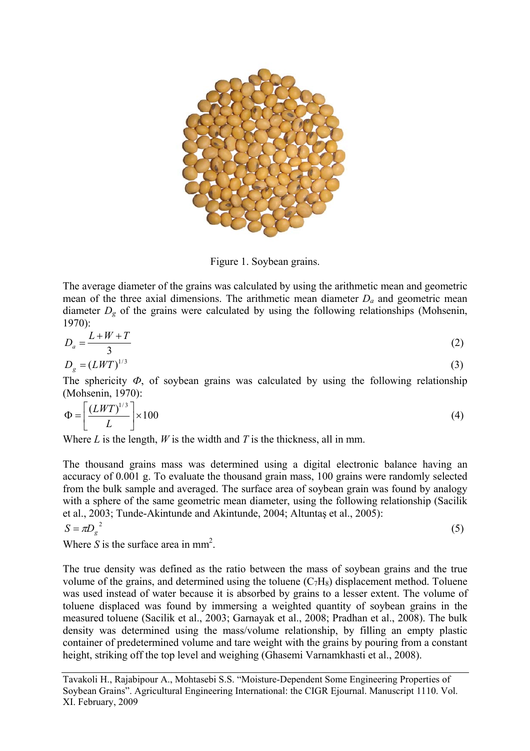

Figure 1. Soybean grains.

The average diameter of the grains was calculated by using the arithmetic mean and geometric mean of the three axial dimensions. The arithmetic mean diameter *Da* and geometric mean diameter  $D_g$  of the grains were calculated by using the following relationships (Mohsenin, 1970):

$$
D_a = \frac{L + W + T}{3} \tag{2}
$$

$$
D_g = (LWT)^{1/3} \tag{3}
$$

The sphericity  $\Phi$ , of soybean grains was calculated by using the following relationship (Mohsenin, 1970):

$$
\Phi = \left[ \frac{(LWT)^{1/3}}{L} \right] \times 100 \tag{4}
$$

Where *L* is the length, *W* is the width and *T* is the thickness, all in mm.

The thousand grains mass was determined using a digital electronic balance having an accuracy of 0.001 g. To evaluate the thousand grain mass, 100 grains were randomly selected from the bulk sample and averaged. The surface area of soybean grain was found by analogy with a sphere of the same geometric mean diameter, using the following relationship (Sacilik et al., 2003; Tunde-Akintunde and Akintunde, 2004; Altuntaş et al., 2005):

$$
S = \pi D_g^2 \tag{5}
$$

Where  $S$  is the surface area in mm<sup>2</sup>.

The true density was defined as the ratio between the mass of soybean grains and the true volume of the grains, and determined using the toluene  $(C_7H_8)$  displacement method. Toluene was used instead of water because it is absorbed by grains to a lesser extent. The volume of toluene displaced was found by immersing a weighted quantity of soybean grains in the measured toluene (Sacilik et al., 2003; Garnayak et al., 2008; Pradhan et al., 2008). The bulk density was determined using the mass/volume relationship, by filling an empty plastic container of predetermined volume and tare weight with the grains by pouring from a constant height, striking off the top level and weighing (Ghasemi Varnamkhasti et al., 2008).

Tavakoli H., Rajabipour A., Mohtasebi S.S. "Moisture-Dependent Some Engineering Properties of Soybean Grains". Agricultural Engineering International: the CIGR Ejournal. Manuscript 1110. Vol. XI. February, 2009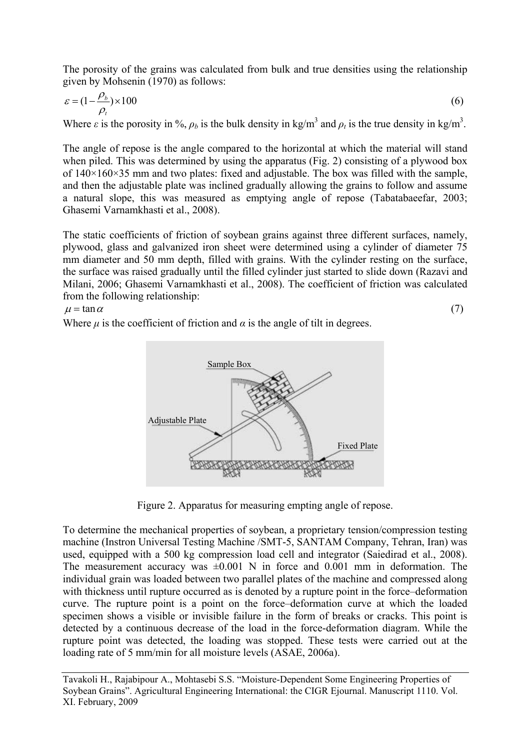The porosity of the grains was calculated from bulk and true densities using the relationship given by Mohsenin (1970) as follows:

$$
\varepsilon = (1 - \frac{\rho_b}{\rho_t}) \times 100
$$
\n<sup>(6)</sup>

Where  $\varepsilon$  is the porosity in %,  $\rho_b$  is the bulk density in kg/m<sup>3</sup> and  $\rho_t$  is the true density in kg/m<sup>3</sup>.

The angle of repose is the angle compared to the horizontal at which the material will stand when piled. This was determined by using the apparatus (Fig. 2) consisting of a plywood box of  $140\times160\times35$  mm and two plates: fixed and adjustable. The box was filled with the sample, and then the adjustable plate was inclined gradually allowing the grains to follow and assume a natural slope, this was measured as emptying angle of repose (Tabatabaeefar, 2003; Ghasemi Varnamkhasti et al., 2008).

The static coefficients of friction of soybean grains against three different surfaces, namely, plywood, glass and galvanized iron sheet were determined using a cylinder of diameter 75 mm diameter and 50 mm depth, filled with grains. With the cylinder resting on the surface, the surface was raised gradually until the filled cylinder just started to slide down (Razavi and Milani, 2006; Ghasemi Varnamkhasti et al., 2008). The coefficient of friction was calculated from the following relationship:

 $\mu = \tan \alpha$  (7) Where  $\mu$  is the coefficient of friction and  $\alpha$  is the angle of tilt in degrees.



Figure 2. Apparatus for measuring empting angle of repose.

To determine the mechanical properties of soybean, a proprietary tension/compression testing machine (Instron Universal Testing Machine /SMT-5, SANTAM Company, Tehran, Iran) was used, equipped with a 500 kg compression load cell and integrator (Saiedirad et al., 2008). The measurement accuracy was  $\pm 0.001$  N in force and 0.001 mm in deformation. The individual grain was loaded between two parallel plates of the machine and compressed along with thickness until rupture occurred as is denoted by a rupture point in the force–deformation curve. The rupture point is a point on the force–deformation curve at which the loaded specimen shows a visible or invisible failure in the form of breaks or cracks. This point is detected by a continuous decrease of the load in the force-deformation diagram. While the rupture point was detected, the loading was stopped. These tests were carried out at the loading rate of 5 mm/min for all moisture levels (ASAE, 2006a).

Tavakoli H., Rajabipour A., Mohtasebi S.S. "Moisture-Dependent Some Engineering Properties of Soybean Grains". Agricultural Engineering International: the CIGR Ejournal. Manuscript 1110. Vol. XI. February, 2009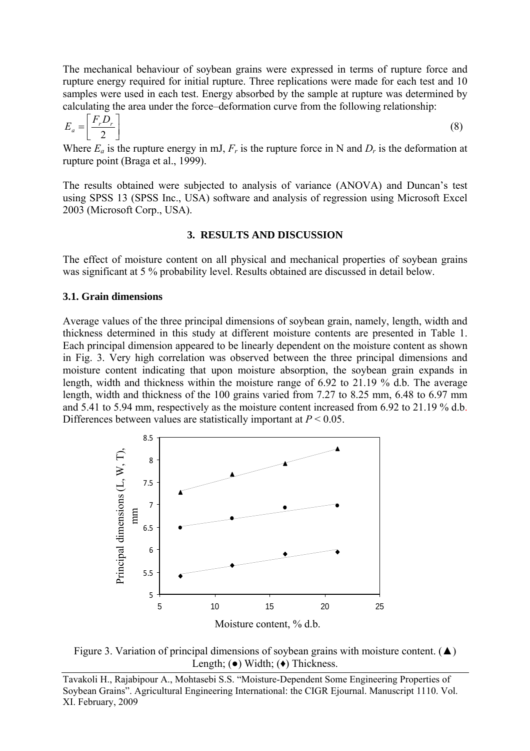The mechanical behaviour of soybean grains were expressed in terms of rupture force and rupture energy required for initial rupture. Three replications were made for each test and 10 samples were used in each test. Energy absorbed by the sample at rupture was determined by calculating the area under the force–deformation curve from the following relationship:

$$
E_a = \left[\frac{F_r D_r}{2}\right] \tag{8}
$$

Where  $E_a$  is the rupture energy in mJ,  $F_r$  is the rupture force in N and  $D_r$  is the deformation at rupture point (Braga et al., 1999).

The results obtained were subjected to analysis of variance (ANOVA) and Duncan's test using SPSS 13 (SPSS Inc., USA) software and analysis of regression using Microsoft Excel 2003 (Microsoft Corp., USA).

### **3. RESULTS AND DISCUSSION**

The effect of moisture content on all physical and mechanical properties of soybean grains was significant at 5 % probability level. Results obtained are discussed in detail below.

### **3.1. Grain dimensions**

Average values of the three principal dimensions of soybean grain, namely, length, width and thickness determined in this study at different moisture contents are presented in Table 1. Each principal dimension appeared to be linearly dependent on the moisture content as shown in Fig. 3. Very high correlation was observed between the three principal dimensions and moisture content indicating that upon moisture absorption, the soybean grain expands in length, width and thickness within the moisture range of 6.92 to 21.19 % d.b. The average length, width and thickness of the 100 grains varied from 7.27 to 8.25 mm, 6.48 to 6.97 mm and 5.41 to 5.94 mm, respectively as the moisture content increased from 6.92 to 21.19 % d.b. Differences between values are statistically important at *P* < 0.05.



Figure 3. Variation of principal dimensions of soybean grains with moisture content. ( $\blacktriangle$ ) Length;  $\left( \bullet \right)$  Width;  $\left( \bullet \right)$  Thickness.

Tavakoli H., Rajabipour A., Mohtasebi S.S. "Moisture-Dependent Some Engineering Properties of Soybean Grains". Agricultural Engineering International: the CIGR Ejournal. Manuscript 1110. Vol. XI. February, 2009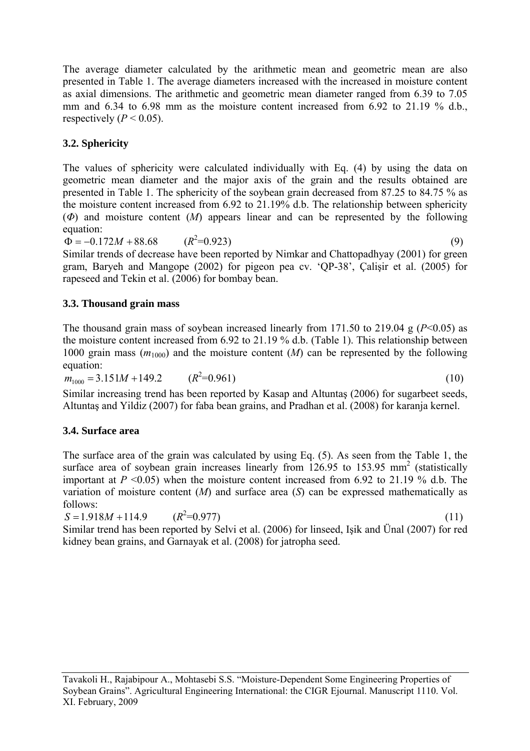The average diameter calculated by the arithmetic mean and geometric mean are also presented in Table 1. The average diameters increased with the increased in moisture content as axial dimensions. The arithmetic and geometric mean diameter ranged from 6.39 to 7.05 mm and 6.34 to 6.98 mm as the moisture content increased from 6.92 to 21.19 % d.b., respectively  $(P < 0.05)$ .

# **3.2. Sphericity**

The values of sphericity were calculated individually with Eq. (4) by using the data on geometric mean diameter and the major axis of the grain and the results obtained are presented in Table 1. The sphericity of the soybean grain decreased from 87.25 to 84.75 % as the moisture content increased from 6.92 to 21.19% d.b. The relationship between sphericity (*Φ*) and moisture content (*M*) appears linear and can be represented by the following equation:

 $\Phi = -0.172M + 88.68$  $(R^2=0.923)$ 

 $\Phi = -0.172M + 88.68$   $(R^2=0.923)$  (9)<br>Similar trends of decrease have been reported by Nimkar and Chattopadhyay (2001) for green gram, Baryeh and Mangope (2002) for pigeon pea cv. 'QP-38', Çalişir et al. (2005) for rapeseed and Tekin et al. (2006) for bombay bean.

## **3.3. Thousand grain mass**

The thousand grain mass of soybean increased linearly from 171.50 to 219.04 g  $(P<0.05)$  as the moisture content increased from 6.92 to 21.19 % d.b. (Table 1). This relationship between 1000 grain mass  $(m_{1000})$  and the moisture content  $(M)$  can be represented by the following equation:

 $m_{1000} = 3.151M + 149.2$  $(R^2=0.961)$  $=0.961$  (10)

Similar increasing trend has been reported by Kasap and Altuntaş (2006) for sugarbeet seeds, Altuntaş and Yildiz (2007) for faba bean grains, and Pradhan et al. (2008) for karanja kernel.

# **3.4. Surface area**

The surface area of the grain was calculated by using Eq. (5). As seen from the Table 1, the surface area of soybean grain increases linearly from  $126.95$  to  $153.95$  mm<sup>2</sup> (statistically important at  $P \le 0.05$ ) when the moisture content increased from 6.92 to 21.19 % d.b. The variation of moisture content (*M*) and surface area (*S*) can be expressed mathematically as follows:

 $S = 1.918M + 114.9$  $(R^2=0.977)$  $(11)$ <br> $(11)$   $(11)$   $(11)$   $(11)$   $(200)$   $(11)$   $(11)$   $(11)$   $(11)$   $(200)$   $(11)$ Similar trend has been reported by Selvi et al. (2006) for linseed, Işik and Ünal (2007) for red kidney bean grains, and Garnayak et al. (2008) for jatropha seed.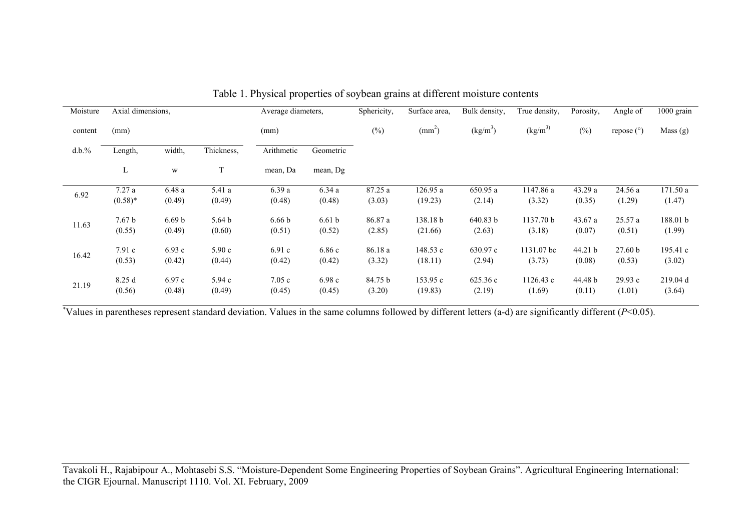| Moisture | Axial dimensions, |                         |                   | Average diameters, |                   | Sphericity, | Surface area. | Bulk density,        | True density, | Porosity, | Angle of   | 1000 grain |
|----------|-------------------|-------------------------|-------------------|--------------------|-------------------|-------------|---------------|----------------------|---------------|-----------|------------|------------|
| content  | (mm)              |                         |                   | (mm)               |                   | $(\%)$      | $\text{mm}^2$ | (kg/m <sup>3</sup> ) | $(kg/m^3)$    | $(\%)$    | repose (°) | Mass(g)    |
| d.b.%    | Length,           | width,                  | Thickness,        | Arithmetic         | Geometric         |             |               |                      |               |           |            |            |
|          | L                 | $\ensuremath{\text{W}}$ | T                 | mean, Da           | mean, Dg          |             |               |                      |               |           |            |            |
| 6.92     | 7.27a             | 6.48a                   | 5.41 a            | 6.39a              | 6.34a             | 87.25 a     | 126.95 a      | 650.95 a             | 1147.86 a     | 43.29a    | 24.56a     | 171.50 a   |
|          | $(0.58)*$         | (0.49)                  | (0.49)            | (0.48)             | (0.48)            | (3.03)      | (19.23)       | (2.14)               | (3.32)        | (0.35)    | (1.29)     | (1.47)     |
| 11.63    | 7.67 <sub>b</sub> | 6.69 <sub>b</sub>       | 5.64 <sub>b</sub> | 6.66 <sub>b</sub>  | 6.61 <sub>b</sub> | 86.87 a     | 138.18 b      | 640.83 b             | 1137.70 b     | 43.67 a   | 25.57a     | 188.01 b   |
|          | (0.55)            | (0.49)                  | (0.60)            | (0.51)             | (0.52)            | (2.85)      | (21.66)       | (2.63)               | (3.18)        | (0.07)    | (0.51)     | (1.99)     |
| 16.42    | 7.91c             | 6.93c                   | 5.90c             | 6.91c              | 6.86c             | 86.18 a     | 148.53 c      | 630.97 c             | 1131.07 bc    | 44.21 b   | 27.60 b    | 195.41 c   |
|          | (0.53)            | (0.42)                  | (0.44)            | (0.42)             | (0.42)            | (3.32)      | (18.11)       | (2.94)               | (3.73)        | (0.08)    | (0.53)     | (3.02)     |
| 21.19    | 8.25d             | 6.97c                   | 5.94c             | 7.05c              | 6.98c             | 84.75 b     | 153.95 c      | 625.36c              | 1126.43 c     | 44.48 b   | 29.93c     | 219.04 d   |
|          | (0.56)            | (0.48)                  | (0.49)            | (0.45)             | (0.45)            | (3.20)      | (19.83)       | (2.19)               | (1.69)        | (0.11)    | (1.01)     | (3.64)     |

|  |  |  | Table 1. Physical properties of soybean grains at different moisture contents |  |
|--|--|--|-------------------------------------------------------------------------------|--|
|  |  |  |                                                                               |  |

\*Values in parentheses represent standard deviation. Values in the same columns followed by different letters (a-d) are significantly different (*P*<0.05).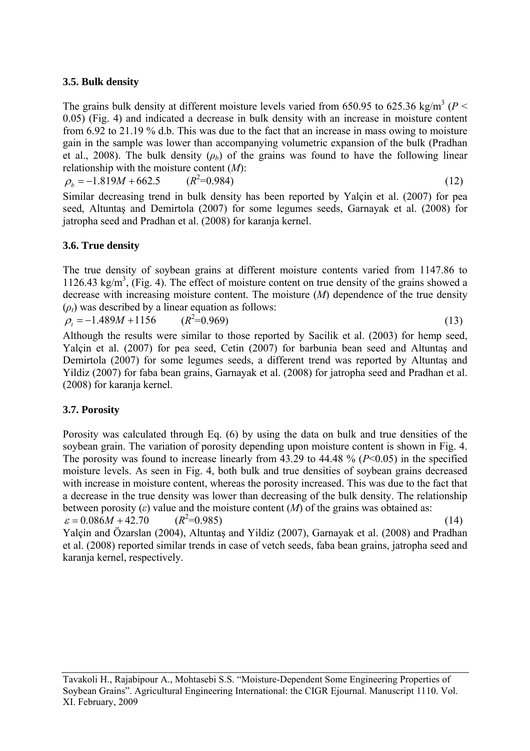## **3.5. Bulk density**

The grains bulk density at different moisture levels varied from 650.95 to 625.36 kg/m<sup>3</sup> ( $P$  < 0.05) (Fig. 4) and indicated a decrease in bulk density with an increase in moisture content from 6.92 to 21.19 % d.b. This was due to the fact that an increase in mass owing to moisture gain in the sample was lower than accompanying volumetric expansion of the bulk (Pradhan et al., 2008). The bulk density  $(\rho_b)$  of the grains was found to have the following linear relationship with the moisture content (*M*):

 $\rho_b = -1.819M + 662.5$  ( $R^2 = 0.984$ )  $=0.984$  (12)

Similar decreasing trend in bulk density has been reported by Yalçin et al. (2007) for pea seed, Altuntaş and Demirtola (2007) for some legumes seeds, Garnayak et al. (2008) for jatropha seed and Pradhan et al. (2008) for karanja kernel.

## **3.6. True density**

The true density of soybean grains at different moisture contents varied from 1147.86 to 1126.43 kg/m<sup>3</sup>, (Fig. 4). The effect of moisture content on true density of the grains showed a decrease with increasing moisture content. The moisture (*M*) dependence of the true density  $(\rho_t)$  was described by a linear equation as follows:

 $\rho_t = -1.489M + 1156$  ( $R^2 = 0.969$ )  $=0.969$  (13)

Although the results were similar to those reported by Sacilik et al. (2003) for hemp seed, Yalçin et al. (2007) for pea seed, Cetin (2007) for barbunia bean seed and Altuntaş and Demirtola (2007) for some legumes seeds, a different trend was reported by Altuntaş and Yildiz (2007) for faba bean grains, Garnayak et al. (2008) for jatropha seed and Pradhan et al. (2008) for karanja kernel.

## **3.7. Porosity**

Porosity was calculated through Eq. (6) by using the data on bulk and true densities of the soybean grain. The variation of porosity depending upon moisture content is shown in Fig. 4. The porosity was found to increase linearly from 43.29 to 44.48 % (*P*<0.05) in the specified moisture levels. As seen in Fig. 4, both bulk and true densities of soybean grains decreased with increase in moisture content, whereas the porosity increased. This was due to the fact that a decrease in the true density was lower than decreasing of the bulk density. The relationship between porosity  $(\varepsilon)$  value and the moisture content  $(M)$  of the grains was obtained as:  $\varepsilon = 0.086M + 42.70$  (*R*<sup>2</sup>=0.985) (14)<br>Yalcin and Özarslan (2004), Altuntas and Yildiz (2007), Garnayak et al. (2008) and Pradhan et al. (2008) reported similar trends in case of vetch seeds, faba bean grains, jatropha seed and karanja kernel, respectively.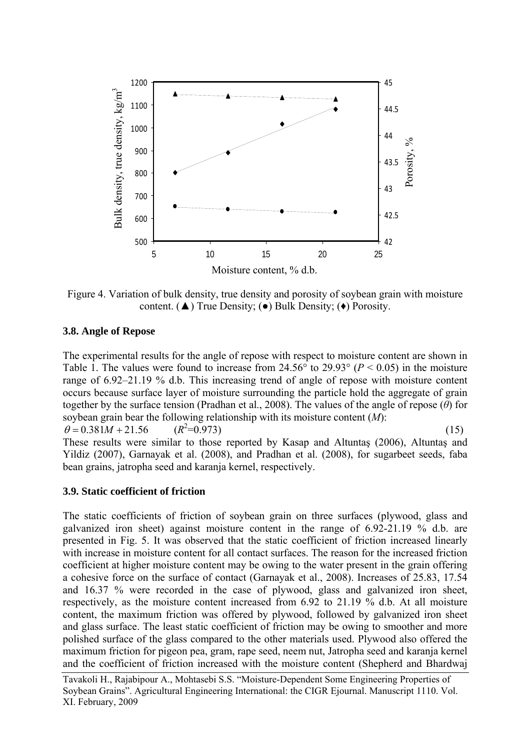

Figure 4. Variation of bulk density, true density and porosity of soybean grain with moisture content. ( $\blacktriangle$ ) True Density; ( $\blacktriangleright$ ) Bulk Density; ( $\blacklozenge$ ) Porosity.

### **3.8. Angle of Repose**

The experimental results for the angle of repose with respect to moisture content are shown in Table 1. The values were found to increase from  $24.56^{\circ}$  to  $29.93^{\circ}$  ( $P < 0.05$ ) in the moisture range of 6.92–21.19 % d.b. This increasing trend of angle of repose with moisture content occurs because surface layer of moisture surrounding the particle hold the aggregate of grain together by the surface tension (Pradhan et al., 2008). The values of the angle of repose (*θ*) for soybean grain bear the following relationship with its moisture content (*M*):

 $heta = 0.381M + 21.56$   $(R^2 = 0.973)$  (15) These results were similar to those reported by Kasap and Altuntaş (2006), Altuntaş and Yildiz (2007), Garnayak et al. (2008), and Pradhan et al. (2008), for sugarbeet seeds, faba bean grains, jatropha seed and karanja kernel, respectively.

### **3.9. Static coefficient of friction**

The static coefficients of friction of soybean grain on three surfaces (plywood, glass and galvanized iron sheet) against moisture content in the range of 6.92-21.19 % d.b. are presented in Fig. 5. It was observed that the static coefficient of friction increased linearly with increase in moisture content for all contact surfaces. The reason for the increased friction coefficient at higher moisture content may be owing to the water present in the grain offering a cohesive force on the surface of contact (Garnayak et al., 2008). Increases of 25.83, 17.54 and 16.37 % were recorded in the case of plywood, glass and galvanized iron sheet, respectively, as the moisture content increased from 6.92 to 21.19 % d.b. At all moisture content, the maximum friction was offered by plywood, followed by galvanized iron sheet and glass surface. The least static coefficient of friction may be owing to smoother and more polished surface of the glass compared to the other materials used. Plywood also offered the maximum friction for pigeon pea, gram, rape seed, neem nut, Jatropha seed and karanja kernel and the coefficient of friction increased with the moisture content (Shepherd and Bhardwaj

Tavakoli H., Rajabipour A., Mohtasebi S.S. "Moisture-Dependent Some Engineering Properties of Soybean Grains". Agricultural Engineering International: the CIGR Ejournal. Manuscript 1110. Vol. XI. February, 2009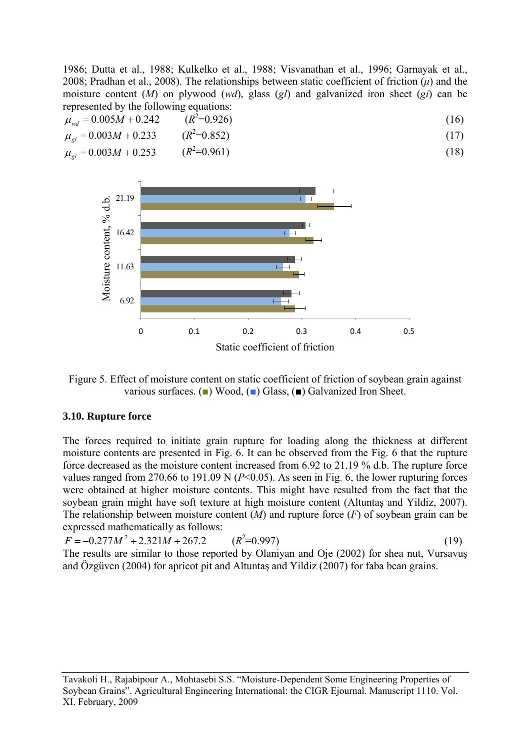1986; Dutta et al., 1988; Kulkelko et al., 1988; Visvanathan et al., 1996; Garnayak et al., 2008; Pradhan et al., 2008). The relationships between static coefficient of friction (*μ*) and the moisture content (*M*) on plywood (*wd*), glass (*gl*) and galvanized iron sheet (*gi*) can be represented by the following equations:

$$
\mu_{wd} = 0.005M + 0.242 \qquad (R^2 = 0.926)
$$
\n
$$
\mu_{gl} = 0.003M + 0.233 \qquad (R^2 = 0.852)
$$
\n
$$
\mu_{gl} = 0.003M + 0.253 \qquad (R^2 = 0.961)
$$
\n(18)



Figure 5. Effect of moisture content on static coefficient of friction of soybean grain against various surfaces. (■) Wood, (■) Glass, (■) Galvanized Iron Sheet.

### **3.10. Rupture force**

The forces required to initiate grain rupture for loading along the thickness at different moisture contents are presented in Fig. 6. It can be observed from the Fig. 6 that the rupture force decreased as the moisture content increased from 6.92 to 21.19 % d.b. The rupture force values ranged from 270.66 to 191.09 N  $(P< 0.05)$ . As seen in Fig. 6, the lower rupturing forces were obtained at higher moisture contents. This might have resulted from the fact that the soybean grain might have soft texture at high moisture content (Altuntaş and Yildiz, 2007). The relationship between moisture content (*M*) and rupture force (*F*) of soybean grain can be expressed mathematically as follows:

$$
F = -0.277M^2 + 2.321M + 267.2 \qquad (R^2 = 0.997)
$$
 (19)

The results are similar to those reported by Olaniyan and Oje (2002) for shea nut, Vursavus and Özgüven (2004) for apricot pit and Altuntaş and Yildiz (2007) for faba bean grains.

Tavakoli H., Rajabipour A., Mohtasebi S.S. "Moisture-Dependent Some Engineering Properties of Soybean Grains". Agricultural Engineering International: the CIGR Ejournal. Manuscript 1110. Vol. XI. February, 2009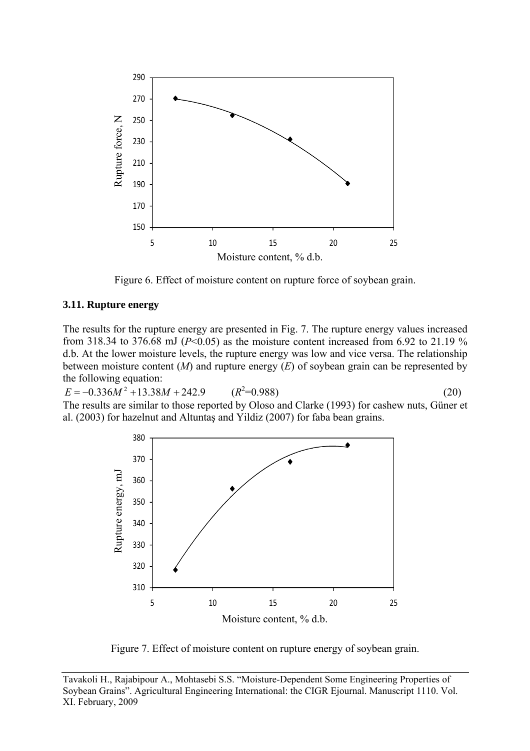

Figure 6. Effect of moisture content on rupture force of soybean grain.

#### **3.11. Rupture energy**

The results for the rupture energy are presented in Fig. 7. The rupture energy values increased from 318.34 to 376.68 mJ ( $P<0.05$ ) as the moisture content increased from 6.92 to 21.19 % d.b. At the lower moisture levels, the rupture energy was low and vice versa. The relationship between moisture content (*M*) and rupture energy (*E*) of soybean grain can be represented by the following equation:

 $E = -0.336M^2 + 13.38M + 242.9$  ( $R^2 = 0.988$ )  $E = -0.336M^2 + 13.38M + 242.9$   $(R^2=0.988)$  (20)<br>The results are similar to those reported by Oloso and Clarke (1993) for cashew nuts, Güner et al. (2003) for hazelnut and Altuntaş and Yildiz (2007) for faba bean grains.



Figure 7. Effect of moisture content on rupture energy of soybean grain.

Tavakoli H., Rajabipour A., Mohtasebi S.S. "Moisture-Dependent Some Engineering Properties of Soybean Grains". Agricultural Engineering International: the CIGR Ejournal. Manuscript 1110. Vol. XI. February, 2009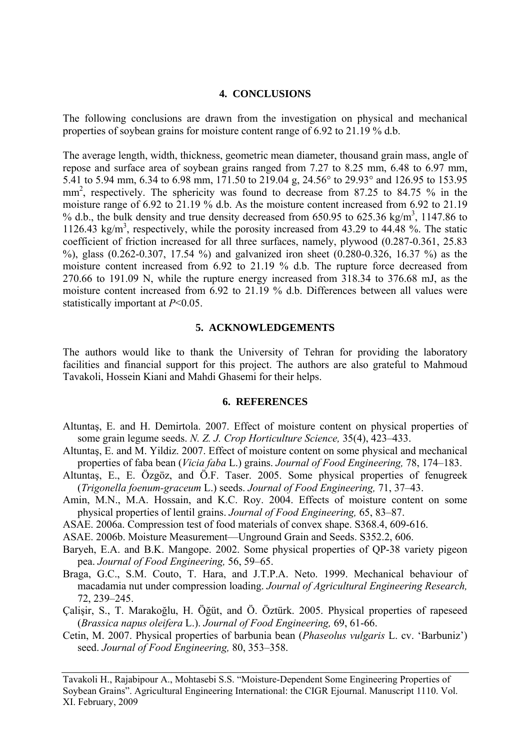### **4. CONCLUSIONS**

The following conclusions are drawn from the investigation on physical and mechanical properties of soybean grains for moisture content range of 6.92 to 21.19 % d.b.

The average length, width, thickness, geometric mean diameter, thousand grain mass, angle of repose and surface area of soybean grains ranged from 7.27 to 8.25 mm, 6.48 to 6.97 mm, 5.41 to 5.94 mm, 6.34 to 6.98 mm, 171.50 to 219.04 g, 24.56° to 29.93° and 126.95 to 153.95 mm<sup>2</sup>, respectively. The sphericity was found to decrease from 87.25 to 84.75 % in the moisture range of 6.92 to 21.19 % d.b. As the moisture content increased from 6.92 to 21.19 % d.b., the bulk density and true density decreased from  $650.95$  to  $625.36$  kg/m<sup>3</sup>, 1147.86 to 1126.43 kg/m<sup>3</sup>, respectively, while the porosity increased from 43.29 to 44.48 %. The static coefficient of friction increased for all three surfaces, namely, plywood (0.287-0.361, 25.83 %), glass (0.262-0.307, 17.54 %) and galvanized iron sheet (0.280-0.326, 16.37 %) as the moisture content increased from 6.92 to 21.19 % d.b. The rupture force decreased from 270.66 to 191.09 N, while the rupture energy increased from 318.34 to 376.68 mJ, as the moisture content increased from 6.92 to 21.19 % d.b. Differences between all values were statistically important at *P*<0.05.

### **5. ACKNOWLEDGEMENTS**

The authors would like to thank the University of Tehran for providing the laboratory facilities and financial support for this project. The authors are also grateful to Mahmoud Tavakoli, Hossein Kiani and Mahdi Ghasemi for their helps.

#### **6. REFERENCES**

- Altuntaş, E. and H. Demirtola. 2007. Effect of moisture content on physical properties of some grain legume seeds. *N. Z. J. Crop Horticulture Science,* 35(4), 423–433.
- Altuntaş, E. and M. Yildiz. 2007. Effect of moisture content on some physical and mechanical properties of faba bean (*Vicia faba* L.) grains. *Journal of Food Engineering,* 78, 174–183.
- Altuntaş, E., E. Özgöz, and Ö.F. Taser. 2005. Some physical properties of fenugreek (*Trigonella foenum-graceum* L.) seeds. *Journal of Food Engineering,* 71, 37–43.
- Amin, M.N., M.A. Hossain, and K.C. Roy. 2004. Effects of moisture content on some physical properties of lentil grains. *Journal of Food Engineering,* 65, 83–87.
- ASAE. 2006a. Compression test of food materials of convex shape. S368.4, 609-616.
- ASAE. 2006b. Moisture Measurement—Unground Grain and Seeds. S352.2, 606.
- Baryeh, E.A. and B.K. Mangope. 2002. Some physical properties of QP-38 variety pigeon pea. *Journal of Food Engineering,* 56, 59–65.
- Braga, G.C., S.M. Couto, T. Hara, and J.T.P.A. Neto. 1999. Mechanical behaviour of macadamia nut under compression loading. *Journal of Agricultural Engineering Research,*  72, 239–245.
- Çalişir, S., T. Marakoğlu, H. Öğüt, and Ö. Öztürk. 2005. Physical properties of rapeseed (*Brassica napus oleifera* L.). *Journal of Food Engineering,* 69, 61-66.
- Cetin, M. 2007. Physical properties of barbunia bean (*Phaseolus vulgaris* L. cv. 'Barbuniz') seed. *Journal of Food Engineering,* 80, 353–358.

Tavakoli H., Rajabipour A., Mohtasebi S.S. "Moisture-Dependent Some Engineering Properties of Soybean Grains". Agricultural Engineering International: the CIGR Ejournal. Manuscript 1110. Vol. XI. February, 2009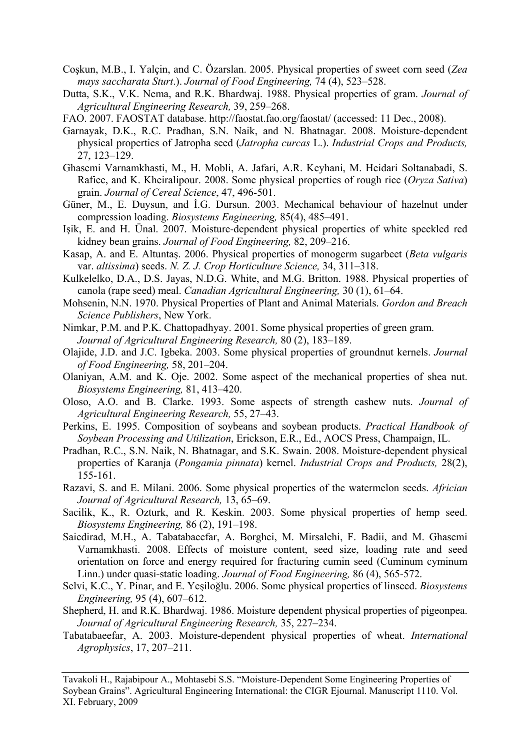- Coşkun, M.B., I. Yalçin, and C. Özarslan. 2005. Physical properties of sweet corn seed (*Zea mays saccharata Sturt*.). *Journal of Food Engineering,* 74 (4), 523–528.
- Dutta, S.K., V.K. Nema, and R.K. Bhardwaj. 1988. Physical properties of gram. *Journal of Agricultural Engineering Research,* 39, 259–268.
- FAO. 2007. FAOSTAT database. <http://faostat.fao.org/faostat/>(accessed: 11 Dec., 2008).
- Garnayak, D.K., R.C. Pradhan, S.N. Naik, and N. Bhatnagar. 2008. Moisture-dependent physical properties of Jatropha seed (*Jatropha curcas* L.). *Industrial Crops and Products,* 27, 123–129.
- Ghasemi Varnamkhasti, M., H. Mobli, A. Jafari, A.R. Keyhani, M. Heidari Soltanabadi, S. Rafiee, and K. Kheiralipour. 2008. Some physical properties of rough rice (*Oryza Sativa*) grain. *Journal of Cereal Science*, 47, 496-501.
- Güner, M., E. Duysun, and İ.G. Dursun. 2003. Mechanical behaviour of hazelnut under compression loading. *Biosystems Engineering,* 85(4), 485–491.
- Işik, E. and H. Ünal. 2007. Moisture-dependent physical properties of white speckled red kidney bean grains. *Journal of Food Engineering,* 82, 209–216.
- Kasap, A. and E. Altuntaş. 2006. Physical properties of monogerm sugarbeet (*Beta vulgaris*  var. *altissima*) seeds. *N. Z. J. Crop Horticulture Science,* 34, 311–318.
- Kulkelelko, D.A., D.S. Jayas, N.D.G. White, and M.G. Britton. 1988. Physical properties of canola (rape seed) meal. *Canadian Agricultural Engineering,* 30 (1), 61–64.
- Mohsenin, N.N. 1970. Physical Properties of Plant and Animal Materials. *Gordon and Breach Science Publishers*, New York.
- Nimkar, P.M. and P.K. Chattopadhyay. 2001. Some physical properties of green gram. *Journal of Agricultural Engineering Research,* 80 (2), 183–189.
- Olajide, J.D. and J.C. Igbeka. 2003. Some physical properties of groundnut kernels. *Journal of Food Engineering,* 58, 201–204.
- Olaniyan, A.M. and K. Oje. 2002. Some aspect of the mechanical properties of shea nut. *Biosystems Engineering,* 81, 413–420.
- Oloso, A.O. and B. Clarke. 1993. Some aspects of strength cashew nuts. *Journal of Agricultural Engineering Research,* 55, 27–43.
- Perkins, E. 1995. Composition of soybeans and soybean products. *Practical Handbook of Soybean Processing and Utilization*, Erickson, E.R., Ed., AOCS Press, Champaign, IL.
- Pradhan, R.C., S.N. Naik, N. Bhatnagar, and S.K. Swain. 2008. Moisture-dependent physical properties of Karanja (*Pongamia pinnata*) kernel. *Industrial Crops and Products,* 28(2), 155-161.
- Razavi, S. and E. Milani. 2006. Some physical properties of the watermelon seeds. *Africian Journal of Agricultural Research,* 13, 65–69.
- Sacilik, K., R. Ozturk, and R. Keskin. 2003. Some physical properties of hemp seed. *Biosystems Engineering,* 86 (2), 191–198.
- Saiedirad, M.H., A. Tabatabaeefar, A. Borghei, M. Mirsalehi, F. Badii, and M. Ghasemi Varnamkhasti. 2008. Effects of moisture content, seed size, loading rate and seed orientation on force and energy required for fracturing cumin seed (Cuminum cyminum Linn.) under quasi-static loading. *Journal of Food Engineering,* 86 (4), 565-572.
- Selvi, K.C., Y. Pinar, and E. Yeşiloğlu. 2006. Some physical properties of linseed. *Biosystems Engineering,* 95 (4), 607–612.
- Shepherd, H. and R.K. Bhardwaj. 1986. Moisture dependent physical properties of pigeonpea. *Journal of Agricultural Engineering Research,* 35, 227–234.
- Tabatabaeefar, A. 2003. Moisture-dependent physical properties of wheat. *International Agrophysics*, 17, 207–211.

Tavakoli H., Rajabipour A., Mohtasebi S.S. "Moisture-Dependent Some Engineering Properties of Soybean Grains". Agricultural Engineering International: the CIGR Ejournal. Manuscript 1110. Vol. XI. February, 2009